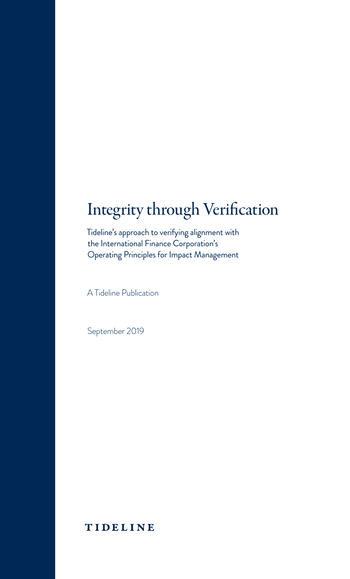## Integrity through Verification

Tideline's approach to verifying alignment with the International Finance Corporation's Operating Principles for Impact Management

A Tideline Publication

September 2019

### TIDELINE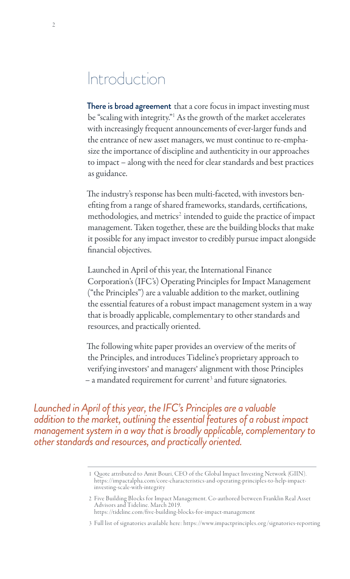### Introduction

There is broad agreement that a core focus in impact investing must be "scaling with integrity."<sup>1</sup> As the growth of the market accelerates with increasingly frequent announcements of ever-larger funds and the entrance of new asset managers, we must continue to re-emphasize the importance of discipline and authenticity in our approaches to impact – along with the need for clear standards and best practices as guidance.

The industry's response has been multi-faceted, with investors benefiting from a range of shared frameworks, standards, certifications, methodologies, and metrics<sup>2</sup> intended to guide the practice of impact management. Taken together, these are the building blocks that make it possible for any impact investor to credibly pursue impact alongside financial objectives.

Launched in April of this year, the International Finance Corporation's (IFC's) Operating Principles for Impact Management ("the Principles") are a valuable addition to the market, outlining the essential features of a robust impact management system in a way that is broadly applicable, complementary to other standards and resources, and practically oriented.

The following white paper provides an overview of the merits of the Principles, and introduces Tideline's proprietary approach to verifying investors' and managers' alignment with those Principles  $-$  a mandated requirement for current<sup>3</sup> and future signatories.

*Launched in April of this year, the IFC's Principles are a valuable addition to the market, outlining the essential features of a robust impact management system in a way that is broadly applicable, complementary to other standards and resources, and practically oriented.*

<sup>1</sup> Quote attributed to Amit Bouri, CEO of the Global Impact Investing Network (GIIN). https://impactalpha.com/core-characteristics-and-operating-principles-to-help-impactinvesting-scale-with-integrity

<sup>2</sup> Five Building Blocks for Impact Management. Co-authored between Franklin Real Asset Advisors and Tideline. March 2019. https: //tideline.com/five-building-blocks-for-impact-management

<sup>3</sup> Full list of signatories available here: https://w ww.impactprinciples. org /signatories-reporting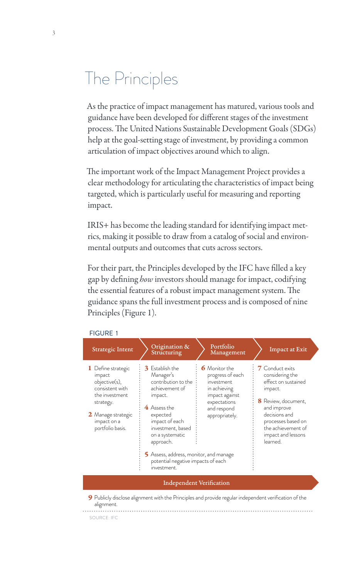# The Principles

As the practice of impact management has matured, various tools and guidance have been developed for different stages of the investment process. The United Nations Sustainable Development Goals (SDGs) help at the goal-setting stage of investment, by providing a common articulation of impact objectives around which to align.

The important work of the Impact Management Project provides a clear methodology for articulating the characteristics of impact being targeted, which is particularly useful for measuring and reporting impact.

IRIS+ has become the leading standard for identifying impact metrics, making it possible to draw from a catalog of social and environmental outputs and outcomes that cuts across sectors.

For their part, the Principles developed by the IFC have filled a key gap by defining *how* investors should manage for impact, codifying the essential features of a robust impact management system. The guidance spans the full investment process and is composed of nine Principles (Figure 1).

| FIGURE I                                                                                                                                                  |                                                                                                                                                                                                                                                                                           |                                                                                                                                           |                                                                                                                                                                                                           |  |
|-----------------------------------------------------------------------------------------------------------------------------------------------------------|-------------------------------------------------------------------------------------------------------------------------------------------------------------------------------------------------------------------------------------------------------------------------------------------|-------------------------------------------------------------------------------------------------------------------------------------------|-----------------------------------------------------------------------------------------------------------------------------------------------------------------------------------------------------------|--|
| Strategic Intent                                                                                                                                          | Origination &<br>Structuring                                                                                                                                                                                                                                                              | Portfolio<br>Management                                                                                                                   | Impact at Exit                                                                                                                                                                                            |  |
| 1 Define strategic<br>impact<br>objective(s),<br>consistent with<br>the investment.<br>strategy.<br>2 Manage strategic<br>impact on a<br>portfolio basis. | <b>3</b> Establish the<br>Manager's<br>contribution to the<br>achievement of<br>impact.<br>4 Assess the<br>expected<br>impact of each<br>investment, based<br>on a systematic<br>approach.<br>5 Assess, address, monitor, and manage<br>potential negative impacts of each<br>investment. | <b>6</b> Monitor the<br>progress of each<br>investment<br>in achieving<br>impact against<br>expectations<br>and respond<br>appropriately. | 7 Conduct exits<br>considering the<br>effect on sustained<br>impact.<br>8 Review, document,<br>and improve<br>decisions and<br>processes based on<br>the achievement of<br>impact and lessons<br>learned. |  |
| <b>Independent Verification</b>                                                                                                                           |                                                                                                                                                                                                                                                                                           |                                                                                                                                           |                                                                                                                                                                                                           |  |
| alignment.                                                                                                                                                | <b>9</b> Publicly disclose alignment with the Principles and provide regular independent verification of the                                                                                                                                                                              |                                                                                                                                           |                                                                                                                                                                                                           |  |

#### FIGURE 1

SOURCE: IFC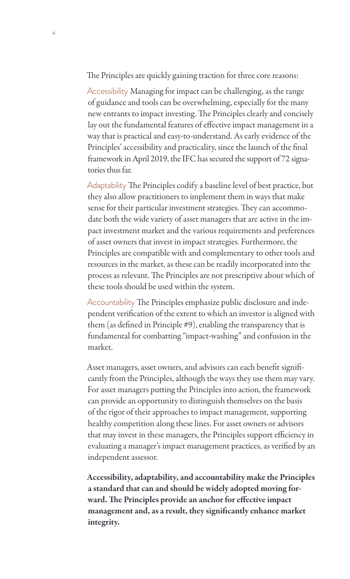The Principles are quickly gaining traction for three core reasons:

Accessibility Managing for impact can be challenging, as the range of guidance and tools can be overwhelming, especially for the many new entrants to impact investing. The Principles clearly and concisely lay out the fundamental features of effective impact management in a way that is practical and easy-to-understand. As early evidence of the Principles' accessibility and practicality, since the launch of the final framework in April 2019, the IFC has secured the support of 72 signatories thus far.

Adaptability The Principles codify a baseline level of best practice, but they also allow practitioners to implement them in ways that make sense for their particular investment strategies. They can accommodate both the wide variety of asset managers that are active in the impact investment market and the various requirements and preferences of asset owners that invest in impact strategies. Furthermore, the Principles are compatible with and complementary to other tools and resources in the market, as these can be readily incorporated into the process as relevant. The Principles are not prescriptive about which of these tools should be used within the system.

Accountability The Principles emphasize public disclosure and independent verification of the extent to which an investor is aligned with them (as defined in Principle #9), enabling the transparency that is fundamental for combatting "impact-washing" and confusion in the market.

Asset managers, asset owners, and advisors can each benefit significantly from the Principles, although the ways they use them may vary. For asset managers putting the Principles into action, the framework can provide an opportunity to distinguish themselves on the basis of the rigor of their approaches to impact management, supporting healthy competition along these lines. For asset owners or advisors that may invest in these managers, the Principles support efficiency in evaluating a manager's impact management practices, as verified by an independent assessor.

Accessibility, adaptability, and accountability make the Principles a standard that can and should be widely adopted moving forward. The Principles provide an anchor for effective impact management and, as a result, they significantly enhance market integrity.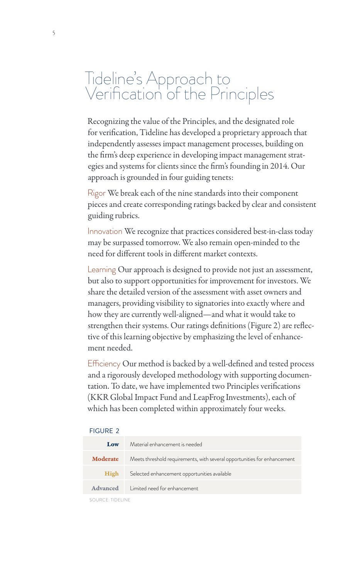## Tideline's Approach to Verification<sup>'</sup> of the Principles

Recognizing the value of the Principles, and the designated role for verification, Tideline has developed a proprietary approach that independently assesses impact management processes, building on the firm's deep experience in developing impact management strategies and systems for clients since the firm's founding in 2014. Our approach is grounded in four guiding tenets:

Rigor We break each of the nine standards into their component pieces and create corresponding ratings backed by clear and consistent guiding rubrics.

Innovation We recognize that practices considered best-in-class today may be surpassed tomorrow. We also remain open-minded to the need for different tools in different market contexts.

Learning Our approach is designed to provide not just an assessment, but also to support opportunities for improvement for investors. We share the detailed version of the assessment with asset owners and managers, providing visibility to signatories into exactly where and how they are currently well-aligned—and what it would take to strengthen their systems. Our ratings definitions (Figure 2) are reflective of this learning objective by emphasizing the level of enhancement needed.

Efficiency Our method is backed by a well-defined and tested process and a rigorously developed methodology with supporting documentation. To date, we have implemented two Principles verifications (KKR Global Impact Fund and LeapFrog Investments), each of which has been completed within approximately four weeks.

| FKJURE 2        |                                                                          |
|-----------------|--------------------------------------------------------------------------|
| Low             | Material enhancement is needed                                           |
| <b>Moderate</b> | Meets threshold requirements, with several opportunities for enhancement |
| High            | Selected enhancement opportunities available                             |
| Advanced        | I imited need for enhancement                                            |

### FIGURE 2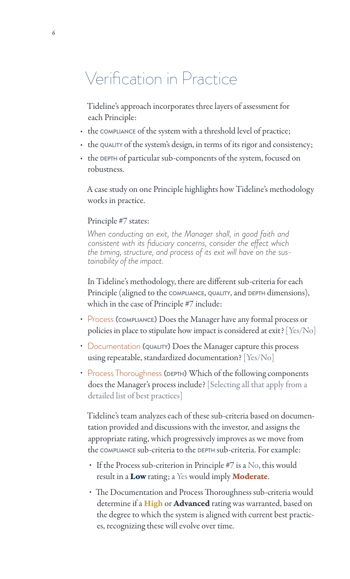## Verification in Practice

Tideline's approach incorporates three layers of assessment for each Principle:

- the compliance of the system with a threshold level of practice;
- the quality of the system's design, in terms of its rigor and consistency;
- the DEPTH of particular sub-components of the system, focused on robustness.

A case study on one Principle highlights how Tideline's methodology works in practice.

#### Principle #7 states:

*When conducting an exit, the Manager shall, in good faith and consistent with its fiduciary concerns, consider the effect which the timing, structure, and process of its exit will have* on the sus-<br>*tainability of the impact.* 

In Tideline's methodology, there are different sub-criteria for each Principle (aligned to the **compliance**, **quality**, and **depth** dimensions), which in the case of Principle #7 include:

- Process **(compliance)** Does the Manager have any formal process or policies in place to stipulate how impact is considered at exit? [Yes/No]
- Documentation (QUALITY) Does the Manager capture this process using repeatable, standardized documentation? [Yes/No]
- Process Thoroughness (DEPTH) Which of the following components does the Manager's process include? [Selecting all that apply from a detailed list of best practices]

Tideline's team analyzes each of these sub-criteria based on documentation provided and discussions with the investor, and assigns the appropriate rating, which progressively improves as we move from the **compliance** sub-criteria to the **depth** sub-criteria. For example:

- If the Process sub-criterion in Principle #7 is a No, this would result in a Low rating; a Yes would imply Moderate.
- The Documentation and Process Thoroughness sub-criteria would determine if a High or Advanced rating was warranted, based on the degree to which the system is aligned with current best practices, recognizing these will evolve over time.